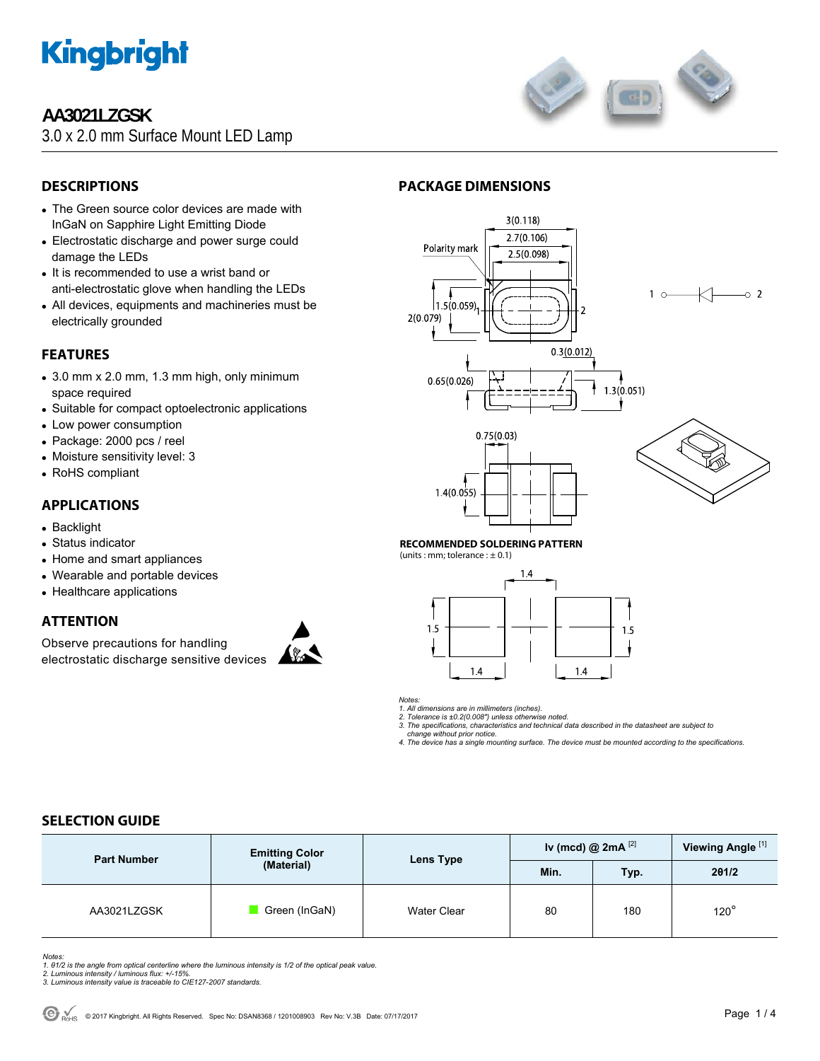

# **AA3021LZGSK**

3.0 x 2.0 mm Surface Mount LED Lamp



# **DESCRIPTIONS**

- The Green source color devices are made with InGaN on Sapphire Light Emitting Diode
- Electrostatic discharge and power surge could damage the LEDs
- It is recommended to use a wrist band or anti-electrostatic glove when handling the LEDs
- All devices, equipments and machineries must be electrically grounded

## **FEATURES**

- $\bullet$  3.0 mm x 2.0 mm, 1.3 mm high, only minimum space required
- Suitable for compact optoelectronic applications
- Low power consumption
- Package: 2000 pcs / reel
- Moisture sensitivity level: 3
- RoHS compliant

### **APPLICATIONS**

- Backlight
- Status indicator
- Home and smart appliances
- Wearable and portable devices
- Healthcare applications

### **ATTENTION**

Observe precautions for handling electrostatic discharge sensitive devices



# **PACKAGE DIMENSIONS**



#### **RECOMMENDED SOLDERING PATTERN**

(units : mm; tolerance :  $\pm$  0.1)



*Notes:* 

*1. All dimensions are in millimeters (inches). 2. Tolerance is ±0.2(0.008") unless otherwise noted.* 

*3. The specifications, characteristics and technical data described in the datasheet are subject to* 

 *change without prior notice.* 

*4. The device has a single mounting surface. The device must be mounted according to the specifications.* 

### **SELECTION GUIDE**

| <b>Part Number</b> | <b>Emitting Color</b><br>(Material) | Lens Type   | Iv (mcd) @ $2mA^{[2]}$ |      | Viewing Angle <sup>[1]</sup> |
|--------------------|-------------------------------------|-------------|------------------------|------|------------------------------|
|                    |                                     |             | Min.                   | Typ. | 201/2                        |
| AA3021LZGSK        | Green (InGaN)                       | Water Clear | 80                     | 180  | $120^\circ$                  |

*Notes:* 

*1. θ1/2 is the angle from optical centerline where the luminous intensity is 1/2 of the optical peak value. 2. Luminous intensity / luminous flux: +/-15%.* 

*3. Luminous intensity value is traceable to CIE127-2007 standards.*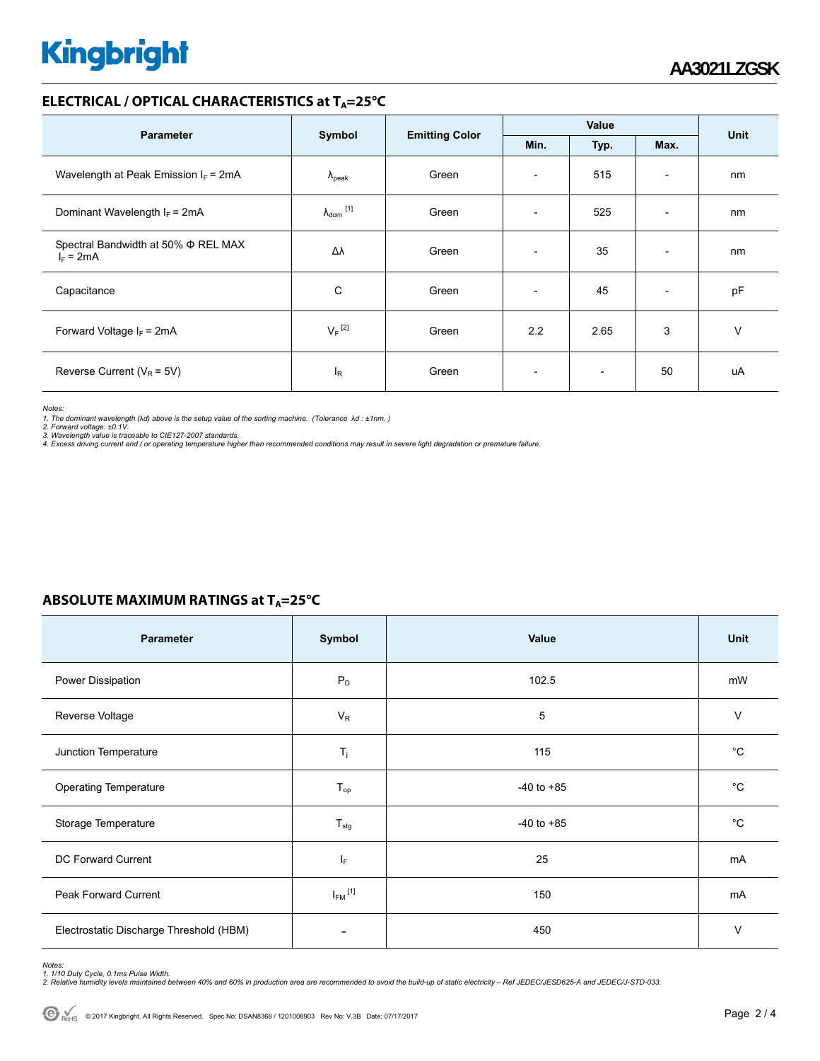# **Kingbright**

### **ELECTRICAL / OPTICAL CHARACTERISTICS at T<sub>A</sub>=25°C**

| <b>Parameter</b>                                        | Symbol                     | <b>Emitting Color</b> | Value                    |                          |                          |      |
|---------------------------------------------------------|----------------------------|-----------------------|--------------------------|--------------------------|--------------------------|------|
|                                                         |                            |                       | Min.                     | Typ.                     | Max.                     | Unit |
| Wavelength at Peak Emission $I_F$ = 2mA                 | $\Lambda_{\rm peak}$       | Green                 | $\overline{\phantom{a}}$ | 515                      | $\overline{\phantom{a}}$ | nm   |
| Dominant Wavelength $I_F = 2mA$                         | $\lambda_{\text{dom}}$ [1] | Green                 | $\overline{\phantom{a}}$ | 525                      | $\overline{\phantom{a}}$ | nm   |
| Spectral Bandwidth at 50% $\Phi$ REL MAX<br>$I_F = 2mA$ | Δλ                         | Green                 | $\overline{\phantom{a}}$ | 35                       | $\overline{\phantom{a}}$ | nm   |
| Capacitance                                             | C                          | Green                 |                          | 45                       | $\overline{\phantom{a}}$ | pF   |
| Forward Voltage $I_F$ = 2mA                             | $V_F$ <sup>[2]</sup>       | Green                 | 2.2                      | 2.65                     | 3                        | v    |
| Reverse Current ( $V_R$ = 5V)                           | l <sub>R</sub>             | Green                 | $\overline{a}$           | $\overline{\phantom{0}}$ | 50                       | uA   |

*Notes:* 

1. The dominant wavelength (λd) above is the setup value of the sorting machine. (Tolerance λd : ±1nm. )<br>2. Forward voltage: ±0.1V.<br>3. Wavelength value is traceable to CIE127-2007 standards.

*4. Excess driving current and / or operating temperature higher than recommended conditions may result in severe light degradation or premature failure.* 

### **ABSOLUTE MAXIMUM RATINGS at T<sub>A</sub>=25°C**

| Parameter                               | Symbol                   | Value          | Unit   |
|-----------------------------------------|--------------------------|----------------|--------|
| Power Dissipation                       | $P_D$                    | 102.5          | mW     |
| Reverse Voltage                         | $V_R$                    | 5              | $\vee$ |
| Junction Temperature                    | $T_j$                    | 115            | °C     |
| <b>Operating Temperature</b>            | $T_{op}$                 | $-40$ to $+85$ | °C     |
| Storage Temperature                     | $T_{\text{stg}}$         | $-40$ to $+85$ | °C     |
| DC Forward Current                      | ΙF                       | 25             | mA     |
| Peak Forward Current                    | $I_{FM}$ <sup>[1]</sup>  | 150            | mA     |
| Electrostatic Discharge Threshold (HBM) | $\overline{\phantom{0}}$ | 450            | $\vee$ |

Notes:<br>1. 1/10 Duty Cycle, 0.1ms Pulse Width.<br>2. Relative humidity levels maintained between 40% and 60% in production area are recommended to avoid the build-up of static electricity – Ref JEDEC/JESD625-A and JEDEC/J-STD-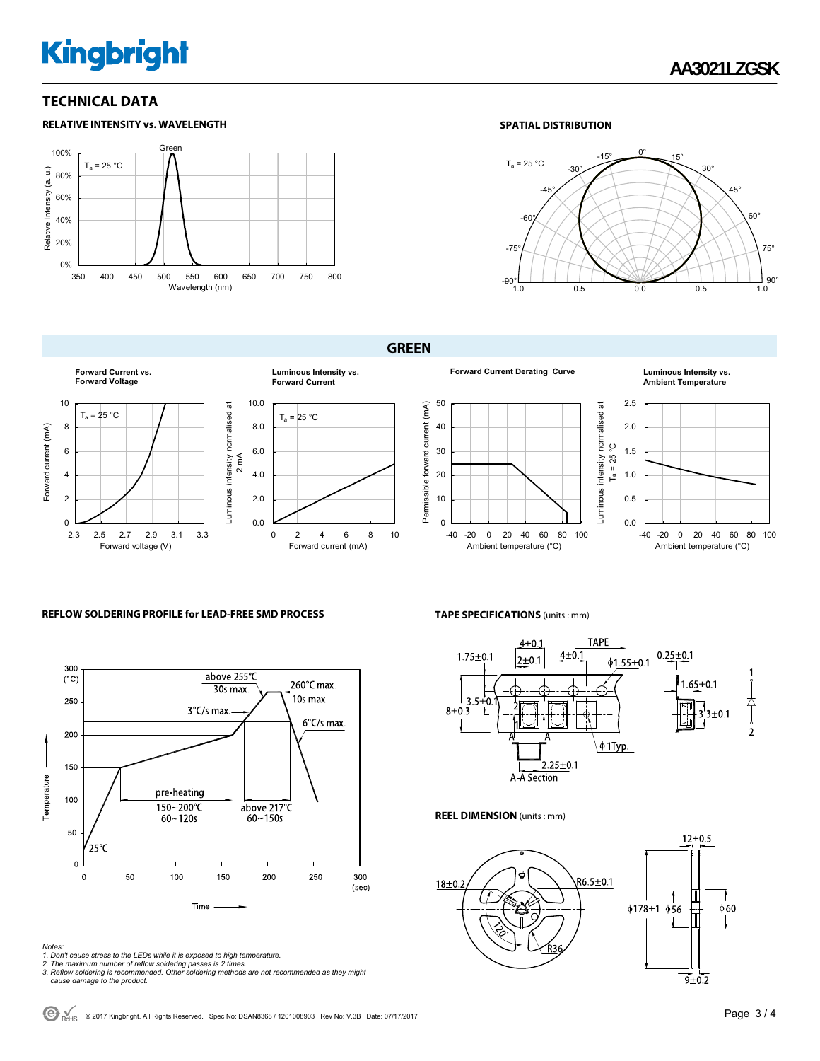# **Kingbright**

**RELATIVE INTENSITY vs. WAVELENGTH**

### **TECHNICAL DATA**

### Gre 100%  $T_a = 25 °C$ Relative Intensity (a. u.) Relative Intensity (a. u.) 80% 60% 40% 20% 0% 350 400 450 500 550 600 650 700 750 800 Wavelength (nm)

### **SPATIAL DISTRIBUTION**



**GREEN** 











#### **REFLOW SOLDERING PROFILE for LEAD-FREE SMD PROCESS**



**TAPE SPECIFICATIONS** (units : mm)



**REEL DIMENSION** (units : mm)



- 
- 
- Notes:<br>1. Don't cause stress to the LEDs while it is exposed to high temperature.<br>2. The maximum number of reflow soldering passes is 2 times.<br>3. Reflow soldering is recommended. Other soldering methods are not recommended